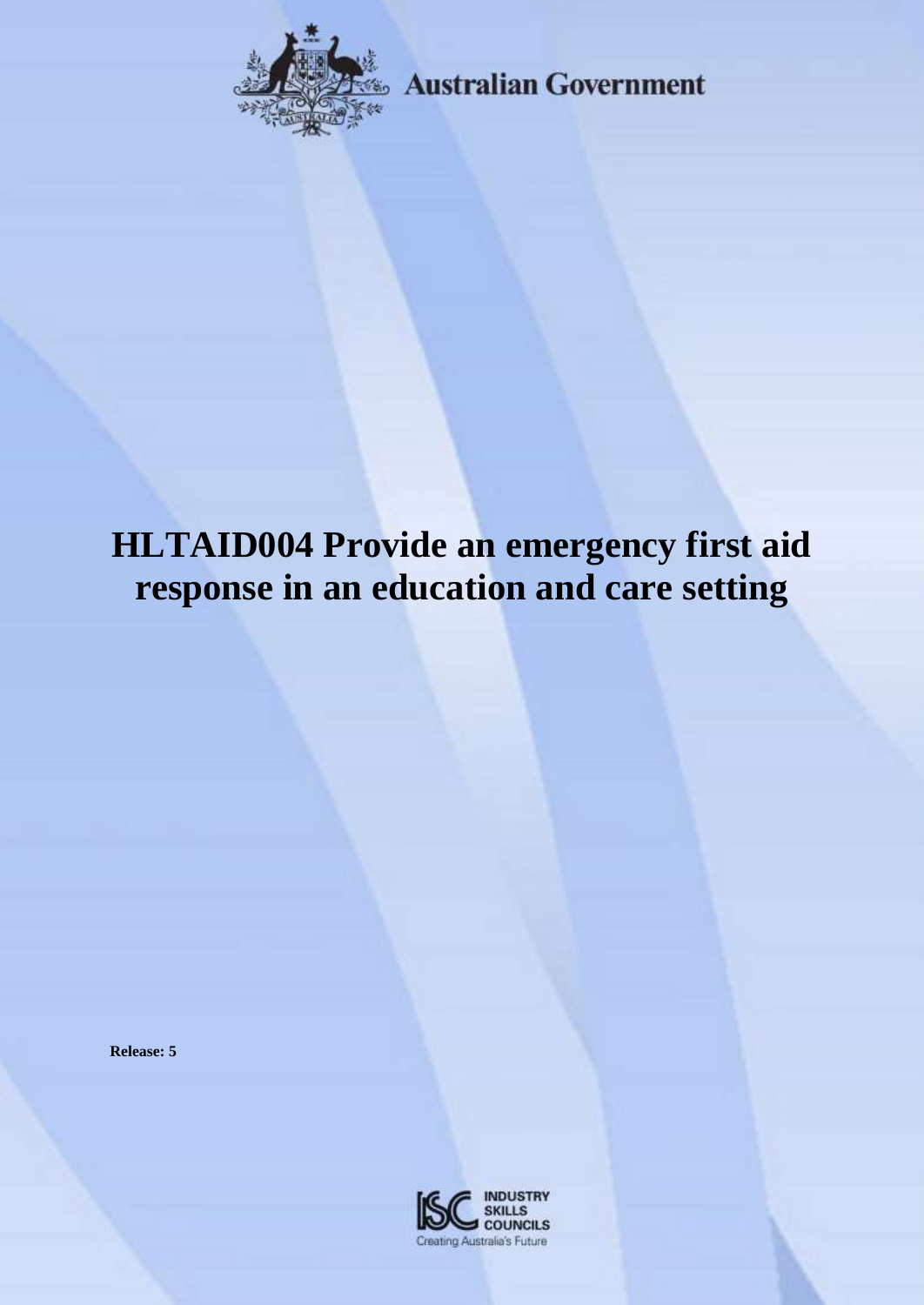

**Australian Government** 

# **HLTAID004 Provide an emergency first aid response in an education and care setting**

**Release: 5**

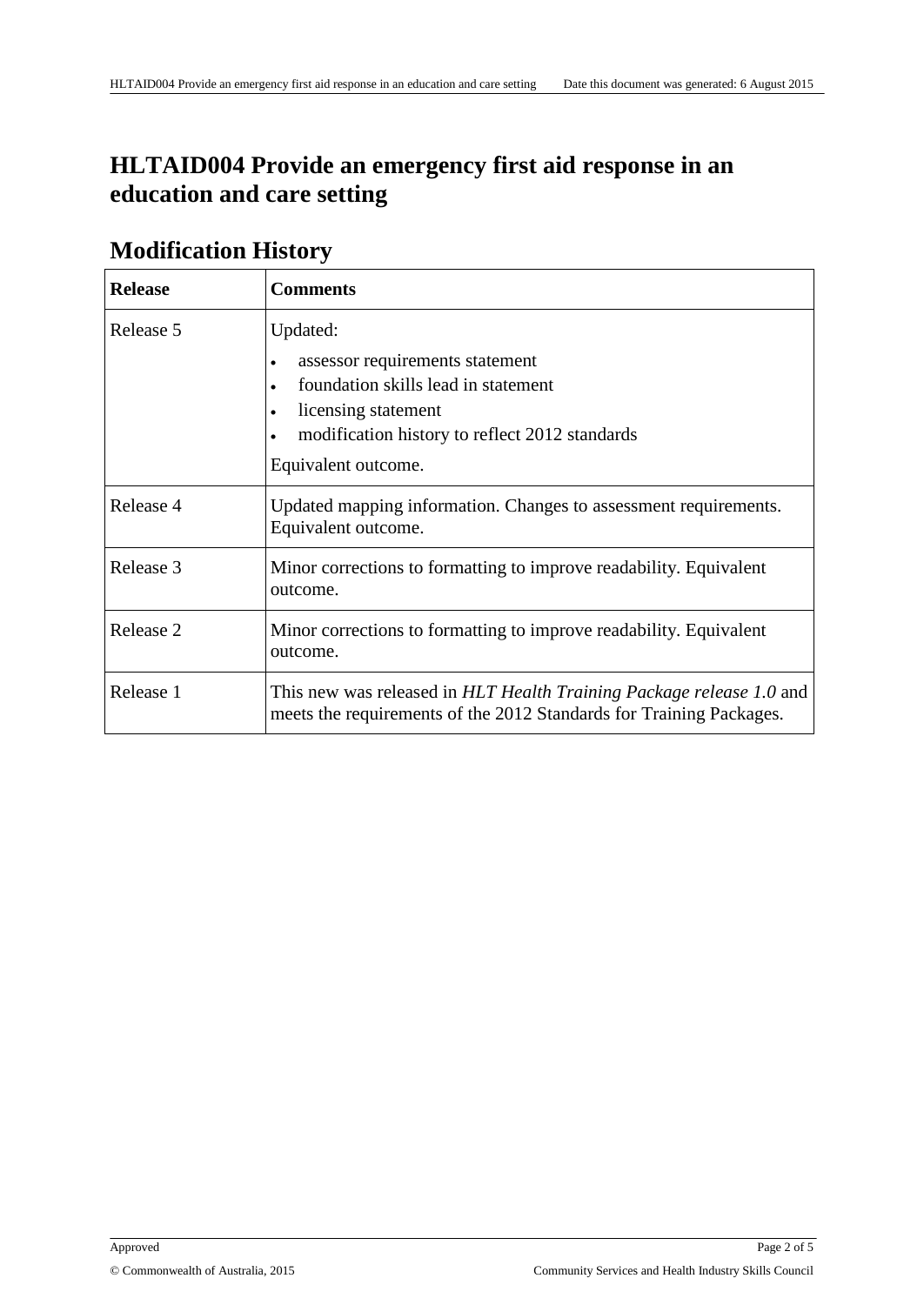# **HLTAID004 Provide an emergency first aid response in an education and care setting**

| <u><i>IVIUUIIILAUUII IIISUUI Y</i></u> |                                                                                                                                                                                                              |  |
|----------------------------------------|--------------------------------------------------------------------------------------------------------------------------------------------------------------------------------------------------------------|--|
| <b>Release</b>                         | <b>Comments</b>                                                                                                                                                                                              |  |
| Release 5                              | Updated:<br>assessor requirements statement<br>foundation skills lead in statement<br>$\bullet$<br>licensing statement<br>$\bullet$<br>modification history to reflect 2012 standards<br>Equivalent outcome. |  |
| Release 4                              | Updated mapping information. Changes to assessment requirements.<br>Equivalent outcome.                                                                                                                      |  |
| Release 3                              | Minor corrections to formatting to improve readability. Equivalent<br>outcome.                                                                                                                               |  |
| Release 2                              | Minor corrections to formatting to improve readability. Equivalent<br>outcome.                                                                                                                               |  |
| Release 1                              | This new was released in HLT Health Training Package release 1.0 and<br>meets the requirements of the 2012 Standards for Training Packages.                                                                  |  |

### **Modification History**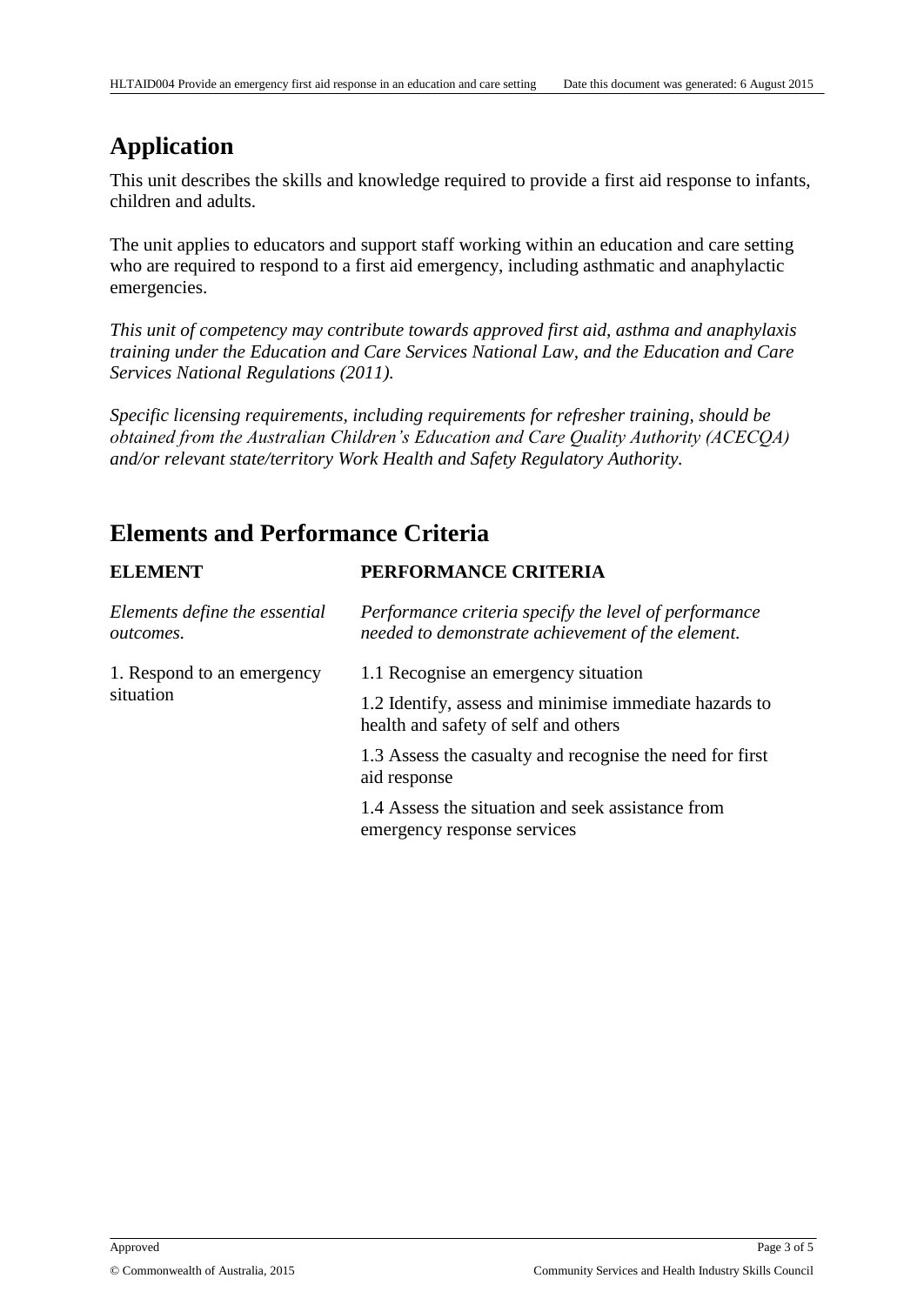## **Application**

This unit describes the skills and knowledge required to provide a first aid response to infants, children and adults.

The unit applies to educators and support staff working within an education and care setting who are required to respond to a first aid emergency, including asthmatic and anaphylactic emergencies.

*This unit of competency may contribute towards approved first aid, asthma and anaphylaxis training under the Education and Care Services National Law, and the Education and Care Services National Regulations (2011).*

*Specific licensing requirements, including requirements for refresher training, should be obtained from the Australian Children's Education and Care Quality Authority (ACECQA) and/or relevant state/territory Work Health and Safety Regulatory Authority.*

# **Elements and Performance Criteria**

| <b>ELEMENT</b>                                    | PERFORMANCE CRITERIA                                                                                       |
|---------------------------------------------------|------------------------------------------------------------------------------------------------------------|
| Elements define the essential<br><i>outcomes.</i> | Performance criteria specify the level of performance<br>needed to demonstrate achievement of the element. |
| 1. Respond to an emergency                        | 1.1 Recognise an emergency situation                                                                       |
| situation                                         | 1.2 Identify, assess and minimise immediate hazards to<br>health and safety of self and others             |
|                                                   | 1.3 Assess the casualty and recognise the need for first<br>aid response                                   |
|                                                   | 1.4 Assess the situation and seek assistance from<br>emergency response services                           |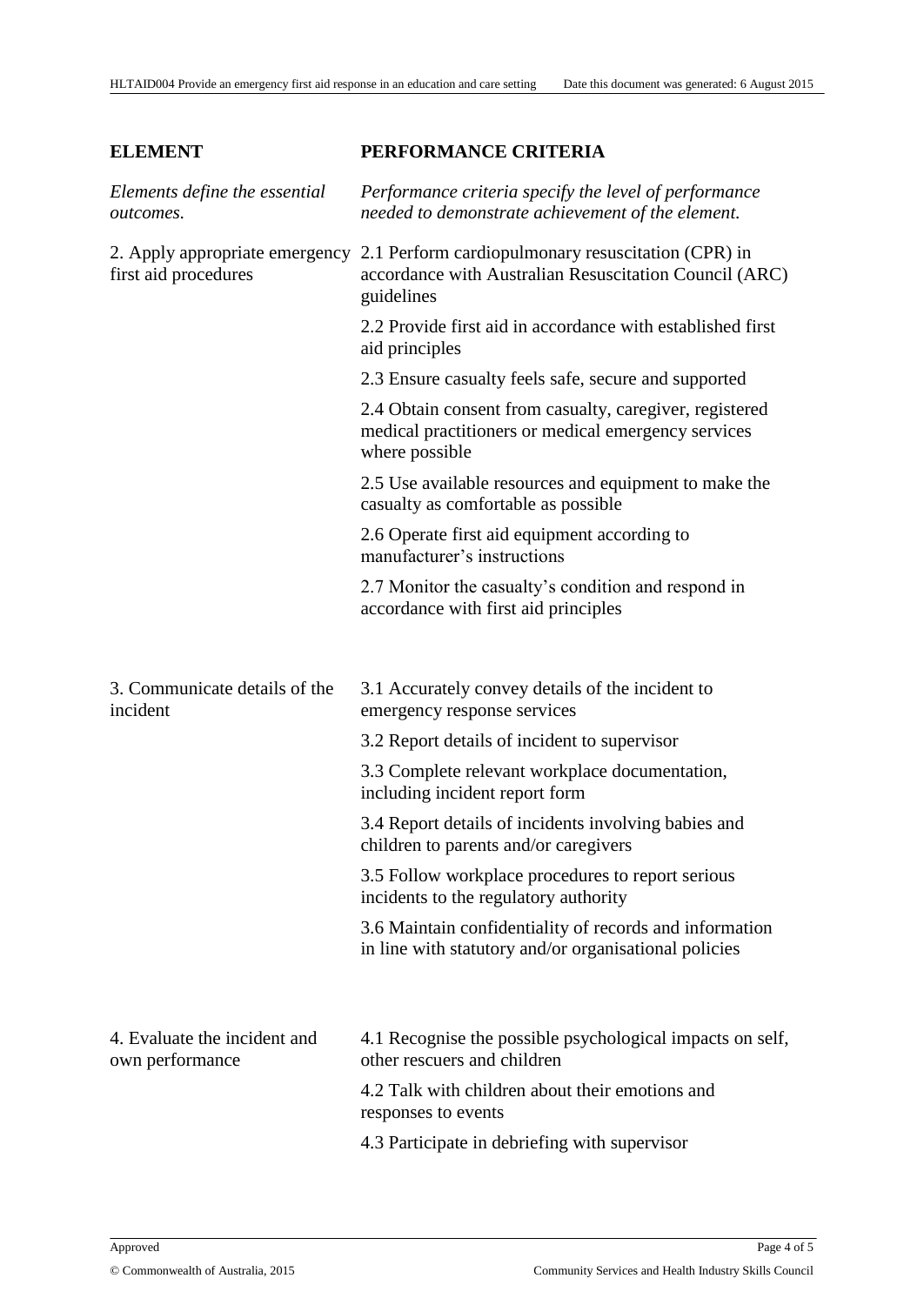#### **ELEMENT PERFORMANCE CRITERIA** *Elements define the essential outcomes. Performance criteria specify the level of performance needed to demonstrate achievement of the element.*  2. Apply appropriate emergency 2.1 Perform cardiopulmonary resuscitation (CPR) in first aid procedures accordance with Australian Resuscitation Council (ARC) guidelines 2.2 Provide first aid in accordance with established first aid principles 2.3 Ensure casualty feels safe, secure and supported 2.4 Obtain consent from casualty, caregiver, registered medical practitioners or medical emergency services where possible 2.5 Use available resources and equipment to make the casualty as comfortable as possible 2.6 Operate first aid equipment according to manufacturer's instructions 2.7 Monitor the casualty's condition and respond in accordance with first aid principles 3. Communicate details of the incident 3.1 Accurately convey details of the incident to emergency response services 3.2 Report details of incident to supervisor 3.3 Complete relevant workplace documentation, including incident report form 3.4 Report details of incidents involving babies and children to parents and/or caregivers 3.5 Follow workplace procedures to report serious incidents to the regulatory authority 3.6 Maintain confidentiality of records and information in line with statutory and/or organisational policies 4. Evaluate the incident and own performance 4.1 Recognise the possible psychological impacts on self, other rescuers and children 4.2 Talk with children about their emotions and responses to events 4.3 Participate in debriefing with supervisor